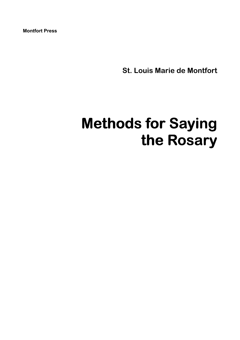**Montfort Press** 

**St. Louis Marie de Montfort** 

# **Methods for Saying the Rosary**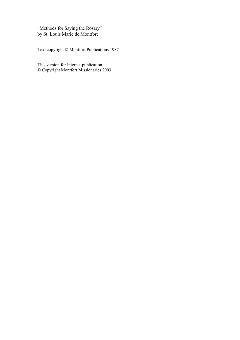"Methods for Saying the Rosary" by St. Louis Marie de Montfort

Text copyright © Montfort Publications 1987

This version for Internet publication © Copyright Montfort Missionaries 2003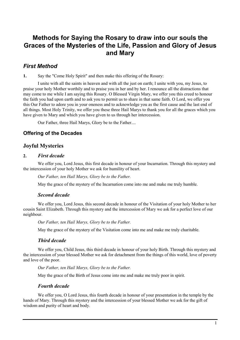# **Methods for Saying the Rosary to draw into our souls the Graces of the Mysteries of the Life, Passion and Glory of Jesus and Mary**

### *First Method*

**1.** Say the "Come Holy Spirit" and then make this offering of the Rosary:

 I unite with all the saints in heaven and with all the just on earth; I unite with you, my Jesus, to praise your holy Mother worthily and to praise you in her and by her. I renounce all the distractions that may come to me while I am saying this Rosary. O Blessed Virgin Mary, we offer you this creed to honour the faith you had upon earth and to ask you to permit us to share in that same faith. O Lord, we offer you this Our Father to adore you in your oneness and to acknowledge you as the first cause and the last end of all things. Most Holy Trinity, we offer you these three Hail Marys to thank you for all the graces which you have given to Mary and which you have given to us through her intercession.

Our Father, three Hail Marys, Glory be to the Father....

### **Offering of the Decades**

### **Joyful Mysteries**

#### **2.** *First decade*

 We offer you, Lord Jesus, this first decade in honour of your Incarnation. Through this mystery and the intercession of your holy Mother we ask for humility of heart.

*Our Father, ten Hail Marys, Glory be to the Father.* 

May the grace of the mystery of the Incarnation come into me and make me truly humble.

#### *Second decade*

 We offer you, Lord Jesus, this second decade in honour of the Visitation of your holy Mother to her cousin Saint Elizabeth. Through this mystery and the intercession of Mary we ask for a perfect love of our neighbour.

*Our Father, ten Hail Marys, Glory be to the Father.* 

May the grace of the mystery of the Visitation come into me and make me truly charitable.

#### *Third decade*

 We offer you, Child Jesus, this third decade in honour of your holy Birth. Through this mystery and the intercession of your blessed Mother we ask for detachment from the things of this world, love of poverty and love of the poor.

*Our Father, ten Hail Marys, Glory be to the Father.* 

May the grace of the Birth of Jesus come into me and make me truly poor in spirit.

#### *Fourth decade*

 We offer you, O Lord Jesus, this fourth decade in honour of your presentation in the temple by the hands of Mary. Through this mystery and the intercession of your blessed Mother we ask for the gift of wisdom and purity of heart and body.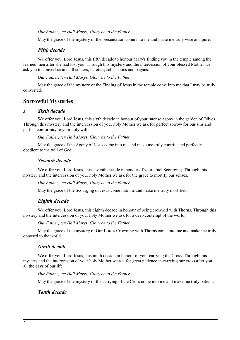*Our Father, ten Hail Marys, Glory be to the Father.* 

May the grace of the mystery of the presentation come into me and make me truly wise and pure.

#### *Fifth decade*

 We offer you, Lord Jesus, this fifth decade to honour Mary's finding you in the temple among the learned men after she had lost you. Through this mystery and the intercession of your blessed Mother we ask you to convert us and all sinners, heretics, schismatics and pagans.

*Our Father, ten Hail Marys, Glory be to the Father.* 

 May the grace of the mystery of the Finding of Jesus in the temple come into me that I may be truly converted.

### **Sorrowful Mysteries**

#### **3.** *Sixth decade*

We offer you, Lord Jesus, this sixth decade in honour of your intense agony in the garden of Olives. Through this mystery and the intercession of your holy Mother we ask for perfect sorrow for our sins and perfect conformity to your holy will.

*Our Father, ten Hail Marys, Glory be to the Father.* 

 May the grace of the Agony of Jesus come into me and make me truly contrite and perfectly obedient to the will of God.

#### *Seventh decade*

 We offer you, Lord Jesus, this seventh decade in honour of your cruel Scourging. Through this mystery and the intercession of your holy Mother we ask for the grace to mortify our senses.

*Our Father, ten Hail Marys, Glory be to the Father.* 

May the grace of the Scourging of Jesus come into me and make me truly mortified.

#### *Eighth decade*

We offer you, Lord Jesus, this eighth decade in honour of being crowned with Thorns. Through this mystery and the intercession of your holy Mother we ask for a deep contempt of the world.

*Our Father, ten Hail Marys, Glory be to the Father.* 

 May the grace of the mystery of Our Lord's Crowning with Thorns come into me and make me truly opposed to the world.

#### *Ninth decade*

We offer you, Lord Jesus, this ninth decade in honour of your carrying the Cross. Through this mystery and the intercession of your holy Mother we ask for great patience in carrying our cross after you all the days of our life.

*Our Father, ten Hail Marys, Glory be to the Father.* 

May the grace of the mystery of the carrying of the Cross come into me and make me truly patient.

#### *Tenth decade*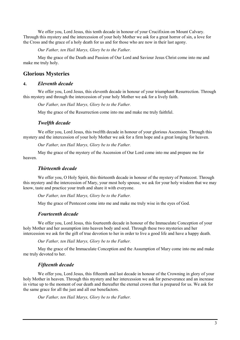We offer you, Lord Jesus, this tenth decade in honour of your Crucifixion on Mount Calvary. Through this mystery and the intercession of your holy Mother we ask for a great horror of sin, a love for the Cross and the grace of a holy death for us and for those who are now in their last agony.

*Our Father, ten Hail Marys, Glory be to the Father.* 

 May the grace of the Death and Passion of Our Lord and Saviour Jesus Christ come into me and make me truly holy.

### **Glorious Mysteries**

#### **4.** *Eleventh decade*

 We offer you, Lord Jesus, this eleventh decade in honour of your triumphant Resurrection. Through this mystery and through the intercession of your holy Mother we ask for a lively faith.

*Our Father, ten Hail Marys, Glory be to the Father.* 

May the grace of the Resurrection come into me and make me truly faithful.

#### *Twelfth decade*

We offer you, Lord Jesus, this twelfth decade in honour of your glorious Ascension. Through this mystery and the intercession of your holy Mother we ask for a firm hope and a great longing for heaven.

*Our Father, ten Hail Marys, Glory be to the Father.* 

 May the grace of the mystery of the Ascension of Our Lord come into me and prepare me for heaven.

#### *Thirteenth decade*

 We offer you, O Holy Spirit, this thirteenth decade in honour of the mystery of Pentecost. Through this mystery and the intercession of Mary, your most holy spouse, we ask for your holy wisdom that we may know, taste and practice your truth and share it with everyone.

 *Our Father, ten Hail Marys, Glory be to the Father.* 

May the grace of Pentecost come into me and make me truly wise in the eyes of God.

#### *Fourteenth decade*

 We offer you, Lord Jesus, this fourteenth decade in honour of the Immaculate Conception of your holy Mother and her assumption into heaven body and soul. Through these two mysteries and her intercession we ask for the gift of true devotion to her in order to live a good life and have a happy death.

 *Our Father, ten Hail Marys, Glory be to the Father.* 

 May the grace of the Immaculate Conception and the Assumption of Mary come into me and make me truly devoted to her.

#### *Fifteenth decade*

We offer you, Lord Jesus, this fifteenth and last decade in honour of the Crowning in glory of your holy Mother in heaven. Through this mystery and her intercession we ask for perseverance and an increase in virtue up to the moment of our death and thereafter the eternal crown that is prepared for us. We ask for the same grace for all the just and all our benefactors.

 *Our Father, ten Hail Marys, Glory be to the Father.*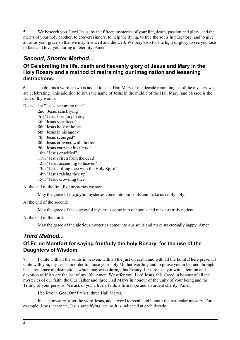**5.** We beseech you, Lord Jesus, by the fifteen mysteries of your life, death, passion and glory, and the merits of your holy Mother, to convert sinners, to help the dying, to free the souls in purgatory, and to give all of us your grace so that we may live well and die well. We pray also for the light of glory to see you face to face and love you during all eternity. Amen.

### *Second, Shorter Method...*

### **Of Celebrating the life, death and heavenly glory of Jesus and Mary in the Holy Rosary and a method of restraining our imagination and lessening distractions.**

**6.** To do this a word or two is added to each Hail Mary of the decade reminding us of the mystery we are celebrating. This addition follows the name of Jesus in the middle of the Hail Mary: and blessed is the fruit of thy womb,

Decade 1st "Jesus becoming man"

 2nd "Jesus sanctifying" 3rd "Jesus born in poverty" 4th "Jesus sacrificed" 5th "Jesus holy of holies" 6th "Jesus in his agony" 7th "Jesus scourged" 8th "Jesus crowned with thorns" 9th "Jesus carrying his Cross" 10th "Jesus crucified" 11th "Jesus risen from the dead" 12th "Jesus ascending to heaven" 13th "Jesus filling thee with the Holy Spirit" 14th "Jesus raising thee up" 15th "Jesus crowning thee"

At the end of the first five mysteries we say:

May the grace of the joyful mysteries come into our souls and make us really holy.

At the end of the second:

May the grace of the sorrowful mysteries come into our souls and make us truly patient.

At the end of the third:

May the grace of the glorious mysteries come into our souls and make us eternally happy. Amen.

# *Third Method...*

### **Of Fr. de Montfort for saying fruitfully the holy Rosary, for the use of the Daughters of Wisdom.**

**7.** I unite with all the saints in heaven, with all the just on earth, and with all the faithful here present. I unite with you, my Jesus, in order to praise your holy Mother worthily and to praise you in her and through her. I renounce all distractions which may arise during this Rosary. I desire to say it with attention and devotion as if it were the last of my life. Amen. We offer you, Lord Jesus, this Creed in honour of all the mysteries of our faith, the Our Father and three Hail Marys in honour of the unity of your being and the Trinity of your persons. We ask of you a lively faith, a firm hope and an ardent charity. Amen.

I believe in God; Our Father; three Hail Marys.

 In each mystery, after the word Jesus, add a word to recall and honour the particular mystery. For example: Jesus incarnate, Jesus sanctifying, etc. as it is indicated at each decade.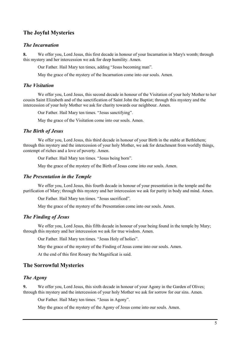### **The Joyful Mysteries**

#### *The Incarnation*

**8.** We offer you, Lord Jesus, this first decade in honour of your Incarnation in Mary's womb; through this mystery and her intercession we ask for deep humility. Amen.

Our Father. Hail Mary ten times, adding "Jesus becoming man".

May the grace of the mystery of the Incarnation come into our souls. Amen.

#### *The Visitation*

 We offer you, Lord Jesus, this second decade in honour of the Visitation of your holy Mother to her cousin Saint Elizabeth and of the sanctification of Saint John the Baptist; through this mystery and the intercession of your holy Mother we ask for charity towards our neighbour. Amen.

Our Father. Hail Mary ten times. "Jesus sanctifying".

May the grace of the Visitation come into our souls. Amen.

#### *The Birth of Jesus*

We offer you, Lord Jesus, this third decade in honour of your Birth in the stable at Bethlehem; through this mystery and the intercession of your holy Mother, we ask for detachment from worldly things, contempt of riches and a love of poverty. Amen.

Our Father. Hail Mary ten times. "Jesus being born".

May the grace of the mystery of the Birth of Jesus come into our souls. Amen.

#### *The Presentation in the Temple*

We offer you, Lord Jesus, this fourth decade in honour of your presentation in the temple and the purification of Mary; through this mystery and her intercession we ask for purity in body and mind. Amen.

Our Father. Hail Mary ten times. "Jesus sacrificed".

May the grace of the mystery of the Presentation come into our souls. Amen.

#### *The Finding of Jesus*

We offer you, Lord Jesus, this fifth decade in honour of your being found in the temple by Mary; through this mystery and her intercession we ask for true wisdom. Amen.

Our Father. Hail Mary ten times. "Jesus Holy of holies".

May the grace of the mystery of the Finding of Jesus come into our souls. Amen.

At the end of this first Rosary the Magnificat is said.

#### **The Sorrowful Mysteries**

#### *The Agony*

**9.** We offer you, Lord Jesus, this sixth decade in honour of your Agony in the Garden of Olives; through this mystery and the intercession of your holy Mother we ask for sorrow for our sins. Amen.

Our Father. Hail Mary ten times. "Jesus in Agony".

May the grace of the mystery of the Agony of Jesus come into our souls. Amen.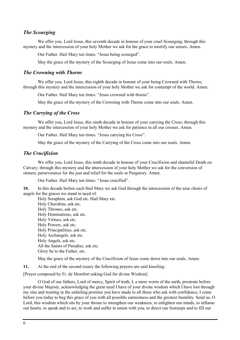#### *The Scourging*

 We offer you, Lord Jesus, this seventh decade in honour of your cruel Scourging; through this mystery and the intercession of your holy Mother we ask for the grace to mortify our senses. Amen.

Our Father. Hail Mary ten times. "Jesus being scourged".

May the grace of the mystery of the Scourging of Jesus come into our souls. Amen.

#### *The Crowning with Thorns*

 We offer you, Lord Jesus, this eighth decade in honour of your being Crowned with Thorns; through this mystery and the intercession of your holy Mother we ask for contempt of the world. Amen.

Our Father. Hail Mary ten times. "Jesus crowned with thorns".

May the grace of the mystery of the Crowning with Thorns come into our souls. Amen.

#### *The Carrying of the Cross*

We offer you, Lord Jesus, this ninth decade in honour of your carrying the Cross; through this mystery and the intercession of your holy Mother we ask for patience in all our crosses. Amen.

Our Father. Hail Mary ten times. "Jesus carrying his Cross".

May the grace of the mystery of the Carrying of the Cross come into our souls. Amen.

#### *The Crucifixion*

 We offer you, Lord Jesus, this tenth decade in honour of your Crucifixion and shameful Death on Calvary; through this mystery and the intercession of your holy Mother we ask for the conversion of sinners, perseverance for the just and relief for the souls in Purgatory. Amen.

Our Father. Hail Mary ten times. "Jesus crucified".

**10.** In this decade before each Hail Mary we ask God through the intercession of the nine choirs of angels for the graces we stand in need of.

 Holy Seraphim, ask God etc. Hail Mary etc. Holy Cherubim, ask etc. Holy Thrones, ask etc. Holy Dominations, ask etc. Holy Virtues, ask etc. Holy Powers, ask etc. Holy Principalities, ask etc. Holy Archangels, ask etc. Holy Angels, ask etc. All the Saints of Paradise, ask etc. Glory be to the Father, etc.

May the grace of the mystery of the Crucifixion of Jesus come down into our souls. Amen.

**11.** At the end of the second rosary the following prayers are said kneeling:

[Prayer composed by Fr. de Montfort asking God for divine Wisdom]

 O God of our fathers, Lord of mercy, Spirit of truth, I, a mere worm of the earth, prostrate before your divine Majesty, acknowledging the great need I have of your divine wisdom which I have lost through my sins and trusting in the unfailing promise you have made to all those who ask with confidence, I come before you today to beg this grace of you with all possible earnestness and the greatest humility. Send us, O Lord, this wisdom which sits by your throne to strengthen our weakness, to enlighten our minds, to inflame our hearts, to speak and to act, to work and suffer in union with you, to direct our footsteps and to fill our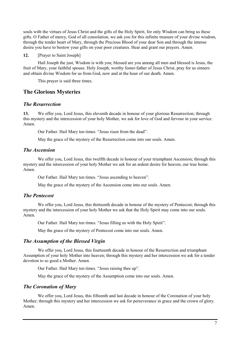souls with the virtues of Jesus Christ and the gifts of the Holy Spirit, for only Wisdom can bring us these gifts. O Father of mercy, God of all consolation, we ask you for this infinite treasure of your divine wisdom, through the tender heart of Mary, through the Precious Blood of your dear Son and through the intense desire you have to bestow your gifts on your poor creatures. Hear and grant our prayers. Amen.

#### **12.** [Prayer to Saint Joseph]

 Hail Joseph the just, Wisdom is with you; blessed are you among all men and blessed is Jesus, the fruit of Mary, your faithful spouse. Holy Joseph, worthy foster-father of Jesus Christ, pray for us sinners and obtain divine Wisdom for us from God, now and at the hour of our death. Amen.

This prayer is said three times.

### **The Glorious Mysteries**

#### *The Resurrection*

**13.** We offer you, Lord Jesus, this eleventh decade in honour of your glorious Resurrection; through this mystery and the intercession of your holy Mother, we ask for love of God and fervour in your service. Amen.

Our Father. Hail Mary ten times. "Jesus risen from the dead".

May the grace of the mystery of the Resurrection come into our souls. Amen.

#### *The Ascension*

 We offer you, Lord Jesus, this twelfth decade in honour of your triumphant Ascension; through this mystery and the intercession of your holy Mother we ask for an ardent desire for heaven, our true home. Amen.

Our Father. Hail Mary ten times. "Jesus ascending to heaven".

May the grace of the mystery of the Ascension come into our souls. Amen.

#### *The Pentecost*

 We offer you, Lord Jesus, this thirteenth decade in honour of the mystery of Pentecost; through this mystery and the intercession of your holy Mother we ask that the Holy Spirit may come into our souls. Amen.

Our Father. Hail Mary ten times. "Jesus filling us with the Holy Spirit".

May the grace of the mystery of Pentecost come into our souls. Amen.

#### *The Assumption of the Blessed Virgin*

We offer you, Lord Jesus, this fourteenth decade in honour of the Resurrection and triumphant Assumption of your holy Mother into heaven; through this mystery and her intercession we ask for a tender devotion to so good a Mother. Amen.

Our Father. Hail Mary ten times. "Jesus raising thee up".

May the grace of the mystery of the Assumption come into our souls. Amen.

#### *The Coronation of Mary*

We offer you, Lord Jesus, this fifteenth and last decade in honour of the Coronation of your holy Mother; through this mystery and her intercession we ask for perseverance in grace and the crown of glory. Amen.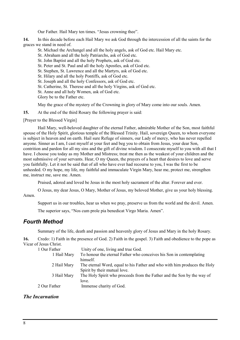Our Father. Hail Mary ten times. "Jesus crowning thee".

**14.** In this decade before each Hail Mary we ask God through the intercession of all the saints for the graces we stand in need of.

- St. Michael the Archangel and all the holy angels, ask of God etc. Hail Mary etc.
- St. Abraham and all the holy Patriarchs, ask of God etc.
- St. John Baptist and all the holy Prophets, ask of God etc.
- St. Peter and St. Paul and all the holy Apostles, ask of God etc.
- St. Stephen, St. Lawrence and all the Martyrs, ask of God etc.
- St. Hilary and all the holy Pontiffs, ask of God etc.
- St. Joseph and all the holy Confessors, ask of God etc.
- St. Catherine, St. Therese and all the holy Virgins, ask of God etc.
- St. Anne and all holy Women, ask of God etc.

Glory be to the Father etc.

May the grace of the mystery of the Crowning in glory of Mary come into our souls. Amen.

**15.** At the end of the third Rosary the following prayer is said:

#### [Prayer to the Blessed Virgin]

 Hail Mary, well-beloved daughter of the eternal Father, admirable Mother of the Son, most faithful spouse of the Holy Spirit, glorious temple of the Blessed Trinity. Hail, sovereign Queen, to whom everyone is subject in heaven and on earth. Hail sure Refuge of sinners, our Lady of mercy, who has never repelled anyone. Sinner as I am, I cast myself at your feet and beg you to obtain from Jesus, your dear Son, contrition and pardon for all my sins and the gift of divine wisdom. I consecrate myself to you with all that I have. I choose you today as my Mother and Mistress; treat me then as the weakest of your children and the most submissive of your servants. Hear, O my Queen, the prayers of a heart that desires to love and serve you faithfully. Let it not be said that of all who have ever had recourse to you, I was the first to be unheeded. O my hope, my life, my faithful and immaculate Virgin Mary, hear me, protect me, strengthen me, instruct me, save me. Amen.

Praised, adored and loved be Jesus in the most holy sacrament of the altar. Forever and ever.

 O Jesus, my dear Jesus, O Mary, Mother of Jesus, my beloved Mother, give us your holy blessing. Amen.

Support us in our troubles, hear us when we pray, preserve us from the world and the devil. Amen.

The superior says, "Nos cum prole pia benedicat Virgo Maria. Amen".

### *Fourth Method*

Summary of the life, death and passion and heavenly glory of Jesus and Mary in the holy Rosary.

**16.** Credo: 1) Faith in the presence of God. 2) Faith in the gospel. 3) Faith and obedience to the pope as Vicar of Jesus Christ. 1 Our Father Unity of one, living and true God.

| T Out Tuttlet | OTHER OF OIL, ITTING and true God.                                       |
|---------------|--------------------------------------------------------------------------|
| 1 Hail Mary   | To honour the eternal Father who conceives his Son in contemplating      |
|               | himself.                                                                 |
| 2 Hail Mary   | The eternal Word, equal to his Father and who with him produces the Holy |
|               | Spirit by their mutual love.                                             |
| 3 Hail Mary   | The Holy Spirit who proceeds from the Father and the Son by the way of   |
|               | love.                                                                    |
| 2 Our Father  | Immense charity of God.                                                  |

#### *The Incarnation*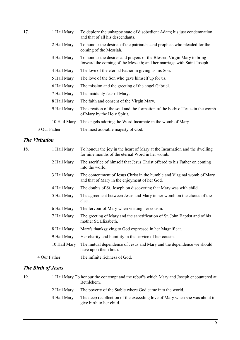| 17. | 1 Hail Mary  | To deplore the unhappy state of disobedient Adam; his just condemnation<br>and that of all his descendants.                                     |
|-----|--------------|-------------------------------------------------------------------------------------------------------------------------------------------------|
|     | 2 Hail Mary  | To honour the desires of the patriarchs and prophets who pleaded for the<br>coming of the Messiah.                                              |
|     | 3 Hail Mary  | To honour the desires and prayers of the Blessed Virgin Mary to bring<br>forward the coming of the Messiah; and her marriage with Saint Joseph. |
|     | 4 Hail Mary  | The love of the eternal Father in giving us his Son.                                                                                            |
|     | 5 Hail Mary  | The love of the Son who gave himself up for us.                                                                                                 |
|     | 6 Hail Mary  | The mission and the greeting of the angel Gabriel.                                                                                              |
|     | 7 Hail Mary  | The maidenly fear of Mary.                                                                                                                      |
|     | 8 Hail Mary  | The faith and consent of the Virgin Mary.                                                                                                       |
|     | 9 Hail Mary  | The creation of the soul and the formation of the body of Jesus in the womb<br>of Mary by the Holy Spirit.                                      |
|     | 10 Hail Mary | The angels adoring the Word Incarnate in the womb of Mary.                                                                                      |
|     | 3 Our Father | The most adorable majesty of God.                                                                                                               |

### *The Visitation*

| 18. | 1 Hail Mary  | To honour the joy in the heart of Mary at the Incarnation and the dwelling<br>for nine months of the eternal Word in her womb. |
|-----|--------------|--------------------------------------------------------------------------------------------------------------------------------|
|     | 2 Hail Mary  | The sacrifice of himself that Jesus Christ offered to his Father on coming<br>into the world.                                  |
|     | 3 Hail Mary  | The contentment of Jesus Christ in the humble and Virginal womb of Mary<br>and that of Mary in the enjoyment of her God.       |
|     | 4 Hail Mary  | The doubts of St. Joseph on discovering that Mary was with child.                                                              |
|     | 5 Hail Mary  | The agreement between Jesus and Mary in her womb on the choice of the<br>elect.                                                |
|     | 6 Hail Mary  | The fervour of Mary when visiting her cousin.                                                                                  |
|     | 7 Hail Mary  | The greeting of Mary and the sanctification of St. John Baptist and of his<br>mother St. Elizabeth.                            |
|     | 8 Hail Mary  | Mary's thanksgiving to God expressed in her Magnificat.                                                                        |
|     | 9 Hail Mary  | Her charity and humility in the service of her cousin.                                                                         |
|     | 10 Hail Mary | The mutual dependence of Jesus and Mary and the dependence we should<br>have upon them both.                                   |
|     | 4 Our Father | The infinite richness of God.                                                                                                  |

# *The Birth of Jesus*

| 19. |             | 1 Hail Mary To honour the contempt and the rebuffs which Mary and Joseph encountered at<br>Bethlehem. |
|-----|-------------|-------------------------------------------------------------------------------------------------------|
|     | 2 Hail Mary | The poverty of the Stable where God came into the world.                                              |
|     | 3 Hail Mary | The deep recollection of the exceeding love of Mary when she was about to<br>give birth to her child. |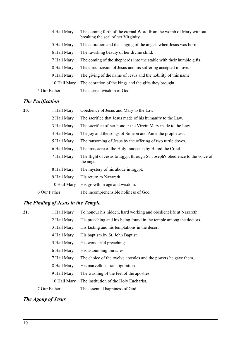| 4 Hail Mary  | The coming forth of the eternal Word from the womb of Mary without<br>breaking the seal of her Virginity. |
|--------------|-----------------------------------------------------------------------------------------------------------|
| 5 Hail Mary  | The adoration and the singing of the angels when Jesus was born.                                          |
| 6 Hail Mary  | The ravishing beauty of her divine child.                                                                 |
| 7 Hail Mary  | The coming of the shepherds into the stable with their humble gifts.                                      |
| 8 Hail Mary  | The circumcision of Jesus and his suffering accepted in love.                                             |
| 9 Hail Mary  | The giving of the name of Jesus and the nobility of this name                                             |
| 10 Hail Mary | The adoration of the kings and the gifts they brought.                                                    |
| 5 Our Father | The eternal wisdom of God.                                                                                |

# *The Purification*

| 20. | 1 Hail Mary  | Obedience of Jesus and Mary to the Law.                                                   |
|-----|--------------|-------------------------------------------------------------------------------------------|
|     | 2 Hail Mary  | The sacrifice that Jesus made of his humanity to the Law.                                 |
|     | 3 Hail Mary  | The sacrifice of her honour the Virgin Mary made to the Law.                              |
|     | 4 Hail Mary  | The joy and the songs of Simeon and Anne the prophetess.                                  |
|     | 5 Hail Mary  | The ransoming of Jesus by the offering of two turtle doves.                               |
|     | 6 Hail Mary  | The massacre of the Holy Innocents by Herod the Cruel.                                    |
|     | 7 Hail Mary  | The flight of Jesus to Egypt through St. Joseph's obedience to the voice of<br>the angel. |
|     | 8 Hail Mary  | The mystery of his abode in Egypt.                                                        |
|     | 9 Hail Mary  | His return to Nazareth                                                                    |
|     | 10 Hail Mary | His growth in age and wisdom.                                                             |
|     | 6 Our Father | The incomprehensible holiness of God.                                                     |

# *The Finding of Jesus in the Temple*

| 21. | 1 Hail Mary  | To honour his hidden, hard working and obedient life at Nazareth.  |
|-----|--------------|--------------------------------------------------------------------|
|     | 2 Hail Mary  | His preaching and his being found in the temple among the doctors. |
|     | 3 Hail Mary  | His fasting and his temptations in the desert.                     |
|     | 4 Hail Mary  | His baptism by St. John Baptist.                                   |
|     | 5 Hail Mary  | His wonderful preaching.                                           |
|     | 6 Hail Mary  | His astounding miracles.                                           |
|     | 7 Hail Mary  | The choice of the twelve apostles and the powers he gave them.     |
|     | 8 Hail Mary  | His marvellous transfiguration                                     |
|     | 9 Hail Mary  | The washing of the feet of the apostles.                           |
|     | 10 Hail Mary | The institution of the Holy Eucharist.                             |
|     | 7 Our Father | The essential happiness of God.                                    |

# *The Agony of Jesus*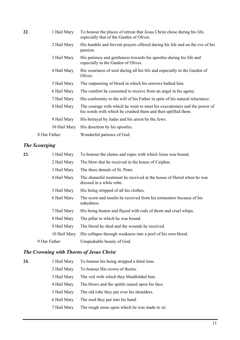| 22. | 1 Hail Mary  | To honour the places of retreat that Jesus Christ chose during his life,<br>especially that of the Garden of Olives.                     |
|-----|--------------|------------------------------------------------------------------------------------------------------------------------------------------|
|     | 2 Hail Mary  | His humble and fervent prayers offered during his life and on the eve of his<br>passion.                                                 |
|     | 3 Hail Mary  | His patience and gentleness towards his apostles during his life and<br>especially in the Garden of Olives.                              |
|     | 4 Hail Mary  | His weariness of soul during all his life and especially in the Garden of<br>Olives.                                                     |
|     | 5 Hail Mary  | The outpouring of blood in which his sorrows bathed him.                                                                                 |
|     | 6 Hail Mary  | The comfort he consented to receive from an angel in his agony.                                                                          |
|     | 7 Hail Mary  | His conformity to the will of his Father in spite of his natural reluctance.                                                             |
|     | 8 Hail Mary  | The courage with which he went to meet his executioners and the power of<br>his words with which he crushed them and then uplifted them. |
|     | 9 Hail Mary  | His betrayal by Judas and his arrest by the Jews.                                                                                        |
|     | 10 Hail Mary | His desertion by his apostles.                                                                                                           |
|     | 8 Our Father | Wonderful patience of God.                                                                                                               |

# *The Scourging*

| 23.          | 1 Hail Mary  | To honour the chains and ropes with which Jesus was bound.                                       |
|--------------|--------------|--------------------------------------------------------------------------------------------------|
|              | 2 Hail Mary  | The blow that he received in the house of Caiphas.                                               |
|              | 3 Hail Mary  | The three denials of St. Peter.                                                                  |
|              | 4 Hail Mary  | The shameful treatment he received at the house of Herod when he was<br>dressed in a white robe. |
|              | 5 Hail Mary  | His being stripped of all his clothes.                                                           |
|              | 6 Hail Mary  | The scorn and insults he received from his tormenters because of his<br>nakedness.               |
|              | 7 Hail Mary  | His being beaten and flayed with rods of thorn and cruel whips.                                  |
|              | 8 Hail Mary  | The pillar to which he was bound.                                                                |
|              | 9 Hail Mary  | The blood he shed and the wounds he received.                                                    |
|              | 10 Hail Mary | His collapse through weakness into a pool of his own blood.                                      |
| 9 Our Father |              | Unspeakable beauty of God.                                                                       |

# *The Crowning with Thorns of Jesus Christ*

| 24. | 1 Hail Mary | To honour his being stripped a third time.      |
|-----|-------------|-------------------------------------------------|
|     | 2 Hail Mary | To honour His crown of thorns.                  |
|     | 3 Hail Mary | The veil with which they blindfolded him.       |
|     | 4 Hail Mary | The blows and the spittle rained upon his face. |
|     | 5 Hail Mary | The old robe they put over his shoulders.       |
|     | 6 Hail Mary | The reed they put into his hand.                |
|     | 7 Hail Mary | The rough stone upon which he was made to sit.  |
|     |             |                                                 |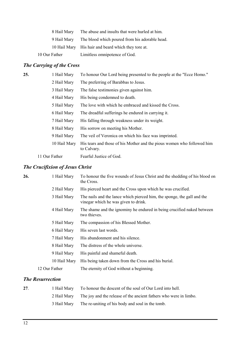| 8 Hail Mary   | The abuse and insults that were hurled at him.             |
|---------------|------------------------------------------------------------|
|               | 9 Hail Mary The blood which poured from his adorable head. |
|               | 10 Hail Mary His hair and beard which they tore at.        |
| 10 Our Father | Limitless omnipotence of God.                              |

# *The Carrying of the Cross*

| 25. | 1 Hail Mary   | To honour Our Lord being presented to the people at the "Ecce Homo."                  |
|-----|---------------|---------------------------------------------------------------------------------------|
|     | 2 Hail Mary   | The preferring of Barabbas to Jesus.                                                  |
|     | 3 Hail Mary   | The false testimonies given against him.                                              |
|     | 4 Hail Mary   | His being condemned to death.                                                         |
|     | 5 Hail Mary   | The love with which he embraced and kissed the Cross.                                 |
|     | 6 Hail Mary   | The dreadful sufferings he endured in carrying it.                                    |
|     | 7 Hail Mary   | His falling through weakness under its weight.                                        |
|     | 8 Hail Mary   | His sorrow on meeting his Mother.                                                     |
|     | 9 Hail Mary   | The veil of Veronica on which his face was imprinted.                                 |
|     | 10 Hail Mary  | His tears and those of his Mother and the pious women who followed him<br>to Calvary. |
|     | 11 Our Father | Fearful Justice of God.                                                               |

# *The Crucifixion of Jesus Christ*

| 26. | 1 Hail Mary   | To honour the five wounds of Jesus Christ and the shedding of his blood on<br>the Cross.                        |
|-----|---------------|-----------------------------------------------------------------------------------------------------------------|
|     | 2 Hail Mary   | His pierced heart and the Cross upon which he was crucified.                                                    |
|     | 3 Hail Mary   | The nails and the lance which pierced him, the sponge, the gall and the<br>vinegar which he was given to drink. |
|     | 4 Hail Mary   | The shame and the ignominy he endured in being crucified naked between<br>two thieves.                          |
|     | 5 Hail Mary   | The compassion of his Blessed Mother.                                                                           |
|     | 6 Hail Mary   | His seven last words.                                                                                           |
|     | 7 Hail Mary   | His abandonment and his silence.                                                                                |
|     | 8 Hail Mary   | The distress of the whole universe.                                                                             |
|     | 9 Hail Mary   | His painful and shameful death.                                                                                 |
|     | 10 Hail Mary  | His being taken down from the Cross and his burial.                                                             |
|     | 12 Our Father | The eternity of God without a beginning.                                                                        |
|     |               |                                                                                                                 |

### *The Resurrection*

| 27. | 1 Hail Mary To honour the descent of the soul of Our Lord into hell.          |
|-----|-------------------------------------------------------------------------------|
|     | 2 Hail Mary The joy and the release of the ancient fathers who were in limbo. |
|     | 3 Hail Mary The re-uniting of his body and soul in the tomb.                  |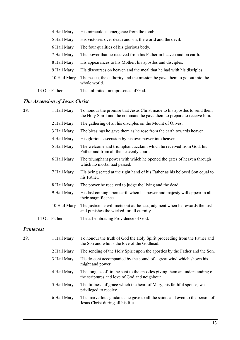| 4 Hail Mary   | His miraculous emergence from the tomb.                                                  |
|---------------|------------------------------------------------------------------------------------------|
| 5 Hail Mary   | His victories over death and sin, the world and the devil.                               |
| 6 Hail Mary   | The four qualities of his glorious body.                                                 |
| 7 Hail Mary   | The power that he received from his Father in heaven and on earth.                       |
| 8 Hail Mary   | His appearances to his Mother, his apostles and disciples.                               |
| 9 Hail Mary   | His discourses on heaven and the meal that he had with his disciples.                    |
| 10 Hail Mary  | The peace, the authority and the mission he gave them to go out into the<br>whole world. |
| 13 Our Father | The unlimited omnipresence of God.                                                       |

# *The Ascension of Jesus Christ*

| 28. | 1 Hail Mary   | To honour the promise that Jesus Christ made to his apostles to send them<br>the Holy Spirit and the command he gave them to prepare to receive him. |
|-----|---------------|------------------------------------------------------------------------------------------------------------------------------------------------------|
|     | 2 Hail Mary   | The gathering of all his disciples on the Mount of Olives.                                                                                           |
|     | 3 Hail Mary   | The blessings he gave them as he rose from the earth towards heaven.                                                                                 |
|     | 4 Hail Mary   | His glorious ascension by his own power into heaven.                                                                                                 |
|     | 5 Hail Mary   | The welcome and triumphant acclaim which he received from God, his<br>Father and from all the heavenly court.                                        |
|     | 6 Hail Mary   | The triumphant power with which he opened the gates of heaven through<br>which no mortal had passed.                                                 |
|     | 7 Hail Mary   | His being seated at the right hand of his Father as his beloved Son equal to<br>his Father.                                                          |
|     | 8 Hail Mary   | The power he received to judge the living and the dead.                                                                                              |
|     | 9 Hail Mary   | His last coming upon earth when his power and majesty will appear in all<br>their magnificence.                                                      |
|     | 10 Hail Mary  | The justice he will mete out at the last judgment when he rewards the just<br>and punishes the wicked for all eternity.                              |
|     | 14 Our Father | The all-embracing Providence of God.                                                                                                                 |

### *Pentecost*

| 1 Hail Mary | To honour the truth of God the Holy Spirit proceeding from the Father and<br>the Son and who is the love of the Godhead.    |
|-------------|-----------------------------------------------------------------------------------------------------------------------------|
| 2 Hail Mary | The sending of the Holy Spirit upon the apostles by the Father and the Son.                                                 |
| 3 Hail Mary | His descent accompanied by the sound of a great wind which shows his<br>might and power.                                    |
| 4 Hail Mary | The tongues of fire he sent to the apostles giving them an understanding of<br>the scriptures and love of God and neighbour |
| 5 Hail Mary | The fullness of grace which the heart of Mary, his faithful spouse, was<br>privileged to receive.                           |
| 6 Hail Mary | The marvellous guidance he gave to all the saints and even to the person of<br>Jesus Christ during all his life.            |
|             |                                                                                                                             |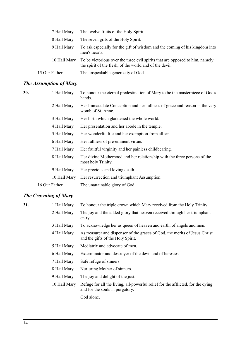| 7 Hail Mary   | The twelve fruits of the Holy Spirit.                                                                                                   |
|---------------|-----------------------------------------------------------------------------------------------------------------------------------------|
| 8 Hail Mary   | The seven gifts of the Holy Spirit.                                                                                                     |
| 9 Hail Mary   | To ask especially for the gift of wisdom and the coming of his kingdom into<br>men's hearts.                                            |
| 10 Hail Mary  | To be victorious over the three evil spirits that are opposed to him, namely<br>the spirit of the flesh, of the world and of the devil. |
| 15 Our Father | The unspeakable generosity of God.                                                                                                      |

# *The Assumption of Mary*

| 30. | 1 Hail Mary   | To honour the eternal predestination of Mary to be the masterpiece of God's<br>hands.           |
|-----|---------------|-------------------------------------------------------------------------------------------------|
|     | 2 Hail Mary   | Her Immaculate Conception and her fullness of grace and reason in the very<br>womb of St. Anne. |
|     | 3 Hail Mary   | Her birth which gladdened the whole world.                                                      |
|     | 4 Hail Mary   | Her presentation and her abode in the temple.                                                   |
|     | 5 Hail Mary   | Her wonderful life and her exemption from all sin.                                              |
|     | 6 Hail Mary   | Her fullness of pre-eminent virtue.                                                             |
|     | 7 Hail Mary   | Her fruitful virginity and her painless childbearing.                                           |
|     | 8 Hail Mary   | Her divine Motherhood and her relationship with the three persons of the<br>most holy Trinity.  |
|     | 9 Hail Mary   | Her precious and loving death.                                                                  |
|     | 10 Hail Mary  | Her resurrection and triumphant Assumption.                                                     |
|     | 16 Our Father | The unattainable glory of God.                                                                  |

# *The Crowning of Mary*

| 31. | 1 Hail Mary  | To honour the triple crown which Mary received from the Holy Trinity.                                              |
|-----|--------------|--------------------------------------------------------------------------------------------------------------------|
|     | 2 Hail Mary  | The joy and the added glory that heaven received through her triumphant<br>entry.                                  |
|     | 3 Hail Mary  | To acknowledge her as queen of heaven and earth, of angels and men.                                                |
|     | 4 Hail Mary  | As treasurer and dispenser of the graces of God, the merits of Jesus Christ<br>and the gifts of the Holy Spirit.   |
|     | 5 Hail Mary  | Mediatrix and advocate of men.                                                                                     |
|     | 6 Hail Mary  | Exterminator and destroyer of the devil and of heresies.                                                           |
|     | 7 Hail Mary  | Safe refuge of sinners.                                                                                            |
|     | 8 Hail Mary  | Nurturing Mother of sinners.                                                                                       |
|     | 9 Hail Mary  | The joy and delight of the just.                                                                                   |
|     | 10 Hail Mary | Refuge for all the living, all-powerful relief for the afflicted, for the dying<br>and for the souls in purgatory. |
|     |              | God alone.                                                                                                         |
|     |              |                                                                                                                    |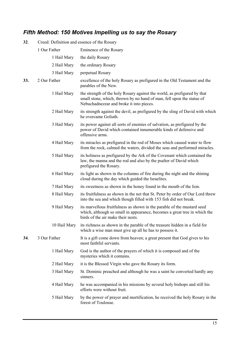# *Fifth Method: 150 Motives Impelling us to say the Rosary*

**32**. Creed: Definition and essence of the Rosary

|     | 1 Our Father | Eminence of the Rosary                                                                                                                                                                        |
|-----|--------------|-----------------------------------------------------------------------------------------------------------------------------------------------------------------------------------------------|
|     | 1 Hail Mary  | the daily Rosary                                                                                                                                                                              |
|     | 2 Hail Mary  | the ordinary Rosary                                                                                                                                                                           |
|     | 3 Hail Mary  | perpetual Rosary                                                                                                                                                                              |
| 33. | 2 Our Father | excellence of the holy Rosary as prefigured in the Old Testament and the<br>parables of the New.                                                                                              |
|     | 1 Hail Mary  | the strength of the holy Rosary against the world, as prefigured by that<br>small stone, which, thrown by no hand of man, fell upon the statue of<br>Nebuchadnezzar and broke it into pieces. |
|     | 2 Hail Mary  | its strength against the devil, as prefigured by the sling of David with which<br>he overcame Goliath.                                                                                        |
|     | 3 Hail Mary  | its power against all sorts of enemies of salvation, as prefigured by the<br>power of David which contained innumerable kinds of defensive and<br>offensive arms.                             |
|     | 4 Hail Mary  | its miracles as prefigured in the rod of Moses which caused water to flow<br>from the rock, calmed the waters, divided the seas and performed miracles.                                       |
|     | 5 Hail Mary  | its holiness as prefigured by the Ark of the Covenant which contained the<br>law, the manna and the rod and also by the psalter of David which<br>prefigured the Rosary.                      |
|     | 6 Hail Mary  | its light as shown in the columns of fire during the night and the shining<br>cloud during the day which guided the Israelites.                                                               |
|     | 7 Hail Mary  | its sweetness as shown in the honey found in the mouth of the lion.                                                                                                                           |
|     | 8 Hail Mary  | its fruitfulness as shown in the net that St. Peter by order of Our Lord threw<br>into the sea and which though filled with 153 fish did not break.                                           |
|     | 9 Hail Mary  | its marvellous fruitfulness as shown in the parable of the mustard seed<br>which, although so small in appearance, becomes a great tree in which the<br>birds of the air make their nests.    |
|     |              | 10 Hail Mary its richness as shown in the parable of the treasure hidden in a field for<br>which a wise man must give up all he has to possess it.                                            |
| 34. | 3 Our Father | It is a gift come down from heaven; a great present that God gives to his<br>most faithful servants.                                                                                          |
|     | 1 Hail Mary  | God is the author of the prayers of which it is composed and of the<br>mysteries which it contains.                                                                                           |
|     | 2 Hail Mary  | it is the Blessed Virgin who gave the Rosary its form.                                                                                                                                        |
|     | 3 Hail Mary  | St. Dominic preached and although he was a saint he converted hardly any<br>sinners.                                                                                                          |
|     | 4 Hail Mary  | he was accompanied in his missions by several holy bishops and still his<br>efforts were without fruit.                                                                                       |
|     | 5 Hail Mary  | by the power of prayer and mortification, he received the holy Rosary in the<br>forest of Toulouse.                                                                                           |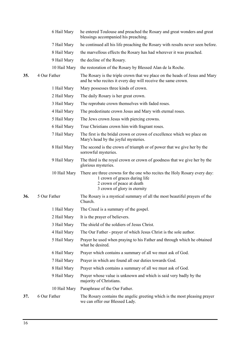|     | 6 Hail Mary  | he entered Toulouse and preached the Rosary and great wonders and great<br>blessings accompanied his preaching.                                                         |
|-----|--------------|-------------------------------------------------------------------------------------------------------------------------------------------------------------------------|
|     | 7 Hail Mary  | he continued all his life preaching the Rosary with results never seen before.                                                                                          |
|     | 8 Hail Mary  | the marvellous effects the Rosary has had wherever it was preached.                                                                                                     |
|     | 9 Hail Mary  | the decline of the Rosary.                                                                                                                                              |
|     | 10 Hail Mary | the restoration of the Rosary by Blessed Alan de la Roche.                                                                                                              |
| 35. | 4 Our Father | The Rosary is the triple crown that we place on the heads of Jesus and Mary<br>and he who recites it every day will receive the same crown.                             |
|     | 1 Hail Mary  | Mary possesses three kinds of crown.                                                                                                                                    |
|     | 2 Hail Mary  | The daily Rosary is her great crown.                                                                                                                                    |
|     | 3 Hail Mary  | The reprobate crown themselves with faded roses.                                                                                                                        |
|     | 4 Hail Mary  | The predestinate crown Jesus and Mary with eternal roses.                                                                                                               |
|     | 5 Hail Mary  | The Jews crown Jesus with piercing crowns.                                                                                                                              |
|     | 6 Hail Mary  | True Christians crown him with fragrant roses.                                                                                                                          |
|     | 7 Hail Mary  | The first is the bridal crown or crown of excellence which we place on<br>Mary's head by the joyful mysteries.                                                          |
|     | 8 Hail Mary  | The second is the crown of triumph or of power that we give her by the<br>sorrowful mysteries.                                                                          |
|     | 9 Hail Mary  | The third is the royal crown or crown of goodness that we give her by the<br>glorious mysteries.                                                                        |
|     | 10 Hail Mary | There are three crowns for the one who recites the Holy Rosary every day:<br>1 crown of graces during life<br>2 crown of peace at death<br>3 crown of glory in eternity |
| 36. | 5 Our Father | The Rosary is a mystical summary of all the most beautiful prayers of the<br>Church.                                                                                    |
|     | 1 Hail Mary  | The Creed is a summary of the gospel.                                                                                                                                   |
|     | 2 Hail Mary  | It is the prayer of believers.                                                                                                                                          |
|     | 3 Hail Mary  | The shield of the soldiers of Jesus Christ.                                                                                                                             |
|     | 4 Hail Mary  | The Our Father - prayer of which Jesus Christ is the sole author.                                                                                                       |
|     | 5 Hail Mary  | Prayer he used when praying to his Father and through which he obtained<br>what he desired.                                                                             |
|     | 6 Hail Mary  | Prayer which contains a summary of all we must ask of God.                                                                                                              |
|     | 7 Hail Mary  | Prayer in which are found all our duties towards God.                                                                                                                   |
|     | 8 Hail Mary  | Prayer which contains a summary of all we must ask of God.                                                                                                              |
|     | 9 Hail Mary  | Prayer whose value is unknown and which is said very badly by the<br>majority of Christians.                                                                            |
|     | 10 Hail Mary | Paraphrase of the Our Father.                                                                                                                                           |
| 37. | 6 Our Father | The Rosary contains the angelic greeting which is the most pleasing prayer<br>we can offer our Blessed Lady.                                                            |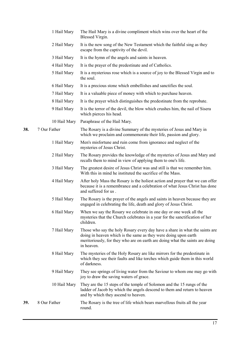|     | 1 Hail Mary  | The Hail Mary is a divine compliment which wins over the heart of the<br>Blessed Virgin.                                                                                                                                                     |
|-----|--------------|----------------------------------------------------------------------------------------------------------------------------------------------------------------------------------------------------------------------------------------------|
|     | 2 Hail Mary  | It is the new song of the New Testament which the faithful sing as they                                                                                                                                                                      |
|     |              | escape from the captivity of the devil.                                                                                                                                                                                                      |
|     | 3 Hail Mary  | It is the hymn of the angels and saints in heaven.                                                                                                                                                                                           |
|     | 4 Hail Mary  | It is the prayer of the predestinate and of Catholics.                                                                                                                                                                                       |
|     | 5 Hail Mary  | It is a mysterious rose which is a source of joy to the Blessed Virgin and to<br>the soul.                                                                                                                                                   |
|     | 6 Hail Mary  | It is a precious stone which embellishes and sanctifies the soul.                                                                                                                                                                            |
|     | 7 Hail Mary  | It is a valuable piece of money with which to purchase heaven.                                                                                                                                                                               |
|     | 8 Hail Mary  | It is the prayer which distinguishes the predestinate from the reprobate.                                                                                                                                                                    |
|     | 9 Hail Mary  | It is the terror of the devil, the blow which crushes him, the nail of Sisera<br>which pierces his head.                                                                                                                                     |
|     | 10 Hail Mary | Paraphrase of the Hail Mary.                                                                                                                                                                                                                 |
| 38. | 7 Our Father | The Rosary is a divine Summary of the mysteries of Jesus and Mary in<br>which we proclaim and commemorate their life, passion and glory.                                                                                                     |
|     | 1 Hail Mary  | Men's misfortune and ruin come from ignorance and neglect of the<br>mysteries of Jesus Christ.                                                                                                                                               |
|     | 2 Hail Mary  | The Rosary provides the knowledge of the mysteries of Jesus and Mary and<br>recalls them to mind in view of applying them to one's life.                                                                                                     |
|     | 3 Hail Mary  | The greatest desire of Jesus Christ was and still is that we remember him.<br>With this in mind he instituted the sacrifice of the Mass.                                                                                                     |
|     | 4 Hail Mary  | After holy Mass the Rosary is the holiest action and prayer that we can offer<br>because it is a remembrance and a celebration of what Jesus Christ has done<br>and suffered for us.                                                         |
|     | 5 Hail Mary  | The Rosary is the prayer of the angels and saints in heaven because they are<br>engaged in celebrating the life, death and glory of Jesus Christ.                                                                                            |
|     | 6 Hail Mary  | When we say the Rosary we celebrate in one day or one week all the<br>mysteries that the Church celebrates in a year for the sanctification of her<br>children.                                                                              |
|     | 7 Hail Mary  | Those who say the holy Rosary every day have a share in what the saints are<br>doing in heaven which is the same as they were doing upon earth<br>meritoriously, for they who are on earth are doing what the saints are doing<br>in heaven. |
|     | 8 Hail Mary  | The mysteries of the Holy Rosary are like mirrors for the predestinate in<br>which they see their faults and like torches which guide them in this world<br>of darkness.                                                                     |
|     | 9 Hail Mary  | They see springs of living water from the Saviour to whom one may go with<br>joy to draw the saving waters of grace.                                                                                                                         |
|     | 10 Hail Mary | They are the 15 steps of the temple of Solomon and the 15 rungs of the<br>ladder of Jacob by which the angels descend to them and return to heaven<br>and by which they ascend to heaven.                                                    |
| 39. | 8 Our Father | The Rosary is the tree of life which bears marvellous fruits all the year<br>round.                                                                                                                                                          |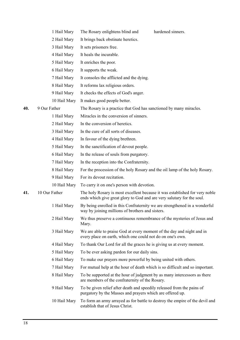|     | 1 Hail Mary   | hardened sinners.<br>The Rosary enlightens blind and                                                                                                  |
|-----|---------------|-------------------------------------------------------------------------------------------------------------------------------------------------------|
|     | 2 Hail Mary   | It brings back obstinate heretics.                                                                                                                    |
|     | 3 Hail Mary   | It sets prisoners free.                                                                                                                               |
|     | 4 Hail Mary   | It heals the incurable.                                                                                                                               |
|     | 5 Hail Mary   | It enriches the poor.                                                                                                                                 |
|     | 6 Hail Mary   | It supports the weak.                                                                                                                                 |
|     | 7 Hail Mary   | It consoles the afflicted and the dying.                                                                                                              |
|     | 8 Hail Mary   | It reforms lax religious orders.                                                                                                                      |
|     | 9 Hail Mary   | It checks the effects of God's anger.                                                                                                                 |
|     | 10 Hail Mary  | It makes good people better.                                                                                                                          |
| 40. | 9 Our Father  | The Rosary is a practice that God has sanctioned by many miracles.                                                                                    |
|     | 1 Hail Mary   | Miracles in the conversion of sinners.                                                                                                                |
|     | 2 Hail Mary   | In the conversion of heretics.                                                                                                                        |
|     | 3 Hail Mary   | In the cure of all sorts of diseases.                                                                                                                 |
|     | 4 Hail Mary   | In favour of the dying brethren.                                                                                                                      |
|     | 5 Hail Mary   | In the sanctification of devout people.                                                                                                               |
|     | 6 Hail Mary   | In the release of souls from purgatory.                                                                                                               |
|     | 7 Hail Mary   | In the reception into the Confraternity.                                                                                                              |
|     | 8 Hail Mary   | For the procession of the holy Rosary and the oil lamp of the holy Rosary.                                                                            |
|     | 9 Hail Mary   | For its devout recitation.                                                                                                                            |
|     | 10 Hail Mary  | To carry it on one's person with devotion.                                                                                                            |
| 41. | 10 Our Father | The holy Rosary is most excellent because it was established for very noble<br>ends which give great glory to God and are very salutary for the soul. |
|     | 1 Hail Mary   | By being enrolled in this Confraternity we are strengthened in a wonderful<br>way by joining millions of brothers and sisters.                        |
|     | 2 Hail Mary   | We thus preserve a continuous remembrance of the mysteries of Jesus and<br>Mary.                                                                      |
|     | 3 Hail Mary   | We are able to praise God at every moment of the day and night and in<br>every place on earth, which one could not do on one's own.                   |
|     | 4 Hail Mary   | To thank Our Lord for all the graces he is giving us at every moment.                                                                                 |
|     | 5 Hail Mary   | To be ever asking pardon for our daily sins.                                                                                                          |
|     | 6 Hail Mary   | To make our prayers more powerful by being united with others.                                                                                        |
|     | 7 Hail Mary   | For mutual help at the hour of death which is so difficult and so important.                                                                          |
|     | 8 Hail Mary   | To be supported at the hour of judgment by as many intercessors as there<br>are members of the confraternity of the Rosary.                           |
|     | 9 Hail Mary   | To be given relief after death and speedily released from the pains of<br>purgatory by the Masses and prayers which are offered up.                   |
|     | 10 Hail Mary  | To form an army arrayed as for battle to destroy the empire of the devil and<br>establish that of Jesus Christ.                                       |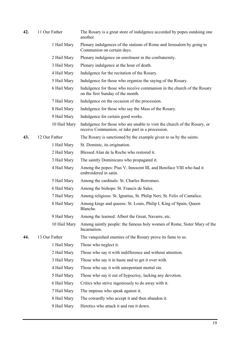| 42. | 11 Our Father | The Rosary is a great store of indulgence accorded by popes outdoing one<br>another.                                          |
|-----|---------------|-------------------------------------------------------------------------------------------------------------------------------|
|     | 1 Hail Mary   | Plenary indulgences of the stations of Rome and Jerusalem by going to<br>Communion on certain days.                           |
|     | 2 Hail Mary   | Plenary indulgence on enrolment in the confraternity.                                                                         |
|     | 3 Hail Mary   | Plenary indulgence at the hour of death.                                                                                      |
|     | 4 Hail Mary   | Indulgence for the recitation of the Rosary.                                                                                  |
|     | 5 Hail Mary   | Indulgence for those who organize the saying of the Rosary.                                                                   |
|     | 6 Hail Mary   | Indulgence for those who receive communion in the church of the Rosary<br>on the first Sunday of the month.                   |
|     | 7 Hail Mary   | Indulgence on the occasion of the procession.                                                                                 |
|     | 8 Hail Mary   | Indulgence for those who say the Mass of the Rosary.                                                                          |
|     | 9 Hail Mary   | Indulgence for certain good works.                                                                                            |
|     | 10 Hail Mary  | Indulgence for those who are unable to visit the church of the Rosary, or<br>receive Communion, or take part in a procession. |
| 43. | 12 Our Father | The Rosary is sanctioned by the example given to us by the saints.                                                            |
|     | 1 Hail Mary   | St. Dominic, its origination.                                                                                                 |
|     | 2 Hail Mary   | Blessed Alan de la Roche who restored it.                                                                                     |
|     | 3 Hail Mary   | The saintly Dominicans who propagated it.                                                                                     |
|     | 4 Hail Mary   | Among the popes: Pius V, Innocent III, and Boniface VIII who had it<br>embroidered in satin.                                  |
|     | 5 Hail Mary   | Among the cardinals: St. Charles Borromeo.                                                                                    |
|     | 6 Hail Mary   | Among the bishops: St. Francis de Sales.                                                                                      |
|     | 7 Hail Mary   | Among religious: St. Ignatius, St. Philip Neri, St. Felix of Cantalice.                                                       |
|     | 8 Hail Mary   | Among kings and queens: St. Louis, Philip I, King of Spain, Queen<br>Blanche.                                                 |
|     | 9 Hail Mary   | Among the learned: Albert the Great, Navarre, etc.                                                                            |
|     | 10 Hail Mary  | Among saintly people: the famous holy women of Rome, Sister Mary of the<br>Incarnation.                                       |
| 44. | 13 Our Father | The vanquished enemies of the Rosary prove its fame to us.                                                                    |
|     | 1 Hail Mary   | Those who neglect it.                                                                                                         |
|     | 2 Hail Mary   | Those who say it with indifference and without attention.                                                                     |
|     | 3 Hail Mary   | Those who say it in haste and to get it over with.                                                                            |
|     | 4 Hail Mary   | Those who say it with unrepentant mortal sin.                                                                                 |
|     | 5 Hail Mary   | Those who say it out of hypocrisy, lacking any devotion.                                                                      |
|     | 6 Hail Mary   | Critics who strive ingeniously to do away with it.                                                                            |
|     | 7 Hail Mary   | The impious who speak against it.                                                                                             |
|     | 8 Hail Mary   | The cowardly who accept it and then abandon it.                                                                               |
|     | 9 Hail Mary   | Heretics who attack it and run it down.                                                                                       |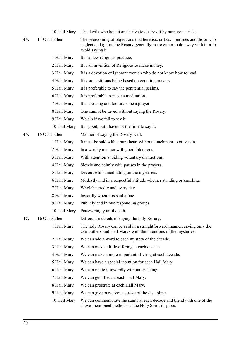|     | 10 Hail Mary  | The devils who hate it and strive to destroy it by numerous tricks.                                                                                                               |
|-----|---------------|-----------------------------------------------------------------------------------------------------------------------------------------------------------------------------------|
| 45. | 14 Our Father | The overcoming of objections that heretics, critics, libertines and those who<br>neglect and ignore the Rosary generally make either to do away with it or to<br>avoid saying it. |
|     | 1 Hail Mary   | It is a new religious practice.                                                                                                                                                   |
|     | 2 Hail Mary   | It is an invention of Religious to make money.                                                                                                                                    |
|     | 3 Hail Mary   | It is a devotion of ignorant women who do not know how to read.                                                                                                                   |
|     | 4 Hail Mary   | It is superstitious being based on counting prayers.                                                                                                                              |
|     | 5 Hail Mary   | It is preferable to say the penitential psalms.                                                                                                                                   |
|     | 6 Hail Mary   | It is preferable to make a meditation.                                                                                                                                            |
|     | 7 Hail Mary   | It is too long and too tiresome a prayer.                                                                                                                                         |
|     | 8 Hail Mary   | One cannot be saved without saying the Rosary.                                                                                                                                    |
|     | 9 Hail Mary   | We sin if we fail to say it.                                                                                                                                                      |
|     | 10 Hail Mary  | It is good, but I have not the time to say it.                                                                                                                                    |
| 46. | 15 Our Father | Manner of saying the Rosary well.                                                                                                                                                 |
|     | 1 Hail Mary   | It must be said with a pure heart without attachment to grave sin.                                                                                                                |
|     | 2 Hail Mary   | In a worthy manner with good intentions.                                                                                                                                          |
|     | 3 Hail Mary   | With attention avoiding voluntary distractions.                                                                                                                                   |
|     | 4 Hail Mary   | Slowly and calmly with pauses in the prayers.                                                                                                                                     |
|     | 5 Hail Mary   | Devout whilst meditating on the mysteries.                                                                                                                                        |
|     | 6 Hail Mary   | Modestly and in a respectful attitude whether standing or kneeling.                                                                                                               |
|     | 7 Hail Mary   | Wholeheartedly and every day.                                                                                                                                                     |
|     | 8 Hail Mary   | Inwardly when it is said alone.                                                                                                                                                   |
|     | 9 Hail Mary   | Publicly and in two responding groups.                                                                                                                                            |
|     |               | 10 Hail Mary Perseveringly until death.                                                                                                                                           |
| 47. | 16 Our Father | Different methods of saying the holy Rosary.                                                                                                                                      |
|     | 1 Hail Mary   | The holy Rosary can be said in a straightforward manner, saying only the<br>Our Fathers and Hail Marys with the intentions of the mysteries.                                      |
|     | 2 Hail Mary   | We can add a word to each mystery of the decade.                                                                                                                                  |
|     | 3 Hail Mary   | We can make a little offering at each decade.                                                                                                                                     |
|     | 4 Hail Mary   | We can make a more important offering at each decade.                                                                                                                             |
|     | 5 Hail Mary   | We can have a special intention for each Hail Mary.                                                                                                                               |
|     | 6 Hail Mary   | We can recite it inwardly without speaking.                                                                                                                                       |
|     | 7 Hail Mary   | We can genuflect at each Hail Mary.                                                                                                                                               |
|     | 8 Hail Mary   | We can prostrate at each Hail Mary.                                                                                                                                               |
|     | 9 Hail Mary   | We can give ourselves a stroke of the discipline.                                                                                                                                 |
|     | 10 Hail Mary  | We can commemorate the saints at each decade and blend with one of the<br>above-mentioned methods as the Holy Spirit inspires.                                                    |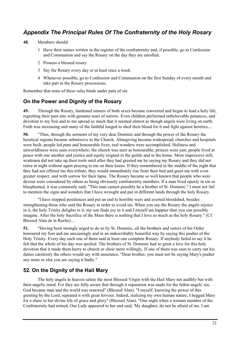### *Appendix The Principal Rules Of The Confraternity of the Holy Rosary*

- **48.** Members should:
	- 1 Have their names written in the register of the confraternity and, if possible, go to Confession and Communion and say the Rosary on the day they are enrolled.
	- 2 Possess a blessed rosary.
	- 3 Say the Rosary every day or at least once a week.
	- 4 Whenever possible, go to Confession and Communion on the first Sunday of every month and take part in the Rosary processions.

Remember that none of these rules binds under pain of sin.

### **On the Power and Dignity of the Rosary**

**49.** Through the Rosary, hardened sinners of both sexes became converted and began to lead a holy life, regretting their past sins with genuine tears of sorrow. Even children performed unbelievable penances, and devotion to my Son and to me spread so much that it seemed almost as though angels were living on earth. Faith was increasing and many of the faithful longed to shed their blood for it and fight against heretics....

**50.** "Thus, through the sermons of my very dear Dominic and through the power of the Rosary the heretical regions became submissive to the Church. Almsgiving became widespread; churches and hospitals were built; people led pure and honourable lives; real wonders were accomplished. Holiness and unworldliness were seen everywhere; the church was seen as honourable; princes were just; people lived at peace with one another and justice and equity reigned in the guilds and in the home. More impressive still, workmen did not take up their tools until after they had greeted me by saying my Rosary and they did not retire at night without again praying to me on their knees. If they remembered in the middle of the night that they had not offered me this tribute, they would immediately rise from their bed and greet me with even greater respect, and with sorrow for their lapse. The Rosary became so well known that people who were devout were considered by others as being obviously confraternity members. If a man lived openly in sin or blasphemed, it was commonly said: "This man cannot possibly be a brother of St. Dominic." I must not fail to mention the signs and wonders that I have wrought and put in different lands through the holy Rosary.

 "I have stopped pestilences and put an end to horrible wars and averted bloodshed, besides strengthening those who said the Rosary in order to avoid sin. When you say the Rosary the angels rejoice in it, the holy Trinity delights in it, my son finds joy in it and I myself am happier than you can possibly imagine. After the holy Sacrifice of the Mass there is nothing that I love so much as the holy Rosary." (Cf. Blessed Alan de la Roche)....

**51.** "Having been strongly urged to do so by St. Dominic, all the brothers and sisters of his Order honoured my Son and me unceasingly and in an indescribably beautiful way by saying this psalter of the Holy Trinity. Every day each one of them said at least one complete Rosary. If anybody failed to say it he felt that the whole of his day was spoiled. The brothers of St. Dominic had so great a love for this holy devotion that it made them hurry to church or choir more willingly. If one of them was seen to carry out his duties carelessly the others would say with assurance, "Dear brother, you must not be saying Mary's psalter any more or else you are saying it badly."

### **52. On the Dignity of the Hail Mary**

 The holy angels in heaven salute the most Blessed Virgin with the Hail Mary not audibly but with their angelic mind. For they are fully aware that through it reparation was made for the fallen angels' sin, God became man and the world was renewed" (Blessed Alan). "I myself, knowing the power of this greeting by the Lord, repeated it with great fervour. Indeed, realizing my own human nature, I begged Mary for a share in her divine life of grace and glory" (Blessed Alan). "One night when a woman member of the Confraternity had retired, Our Lady appeared to her and said, 'My daughter, do not be afraid of me. I am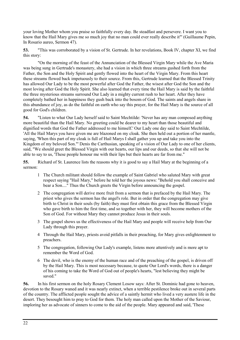your loving Mother whom you praise so faithfully every day. Be steadfast and persevere. I want you to know that the Hail Mary gives me so much joy that no man could ever really describe it"' (Guillaume Pepin, In Rosario aureo, Sermon 47).

**53.** "This was corroborated by a vision of St. Gertrude. In her revelations, Book IV, chapter XI, we find this story:

 "On the morning of the feast of the Annunciation of the Blessed Virgin Mary while the Ave Maria was being sung in Gertrude's monastery, she had a vision in which three streams gushed forth from the Father, the Son and the Holy Spirit and gently flowed into the heart of the Virgin Mary. From this heart these streams flowed back impetuously to their source. From this, Gertrude learned that the Blessed Trinity has allowed Our Lady to be the most powerful after God the Father, the wisest after God the Son and the most loving after God the Holy Spirit. She also learned that every time the Hail Mary is said by the faithful the three mysterious streams surround Our Lady in a mighty current rush to her heart. After they have completely bathed her in happiness they gush back into the bosom of God. The saints and angels share in this abundance of joy, as do the faithful on earth who say this prayer, for the Hail Mary is the source of all good for God's children.

**54.** "Listen to what Our Lady herself said to Saint Mechtilde: 'Never has any man composed anything more beautiful than the Hail Mary. No greeting could be dearer to my heart than those beautiful and dignified words that God the Father addressed to me himself.' Our Lady one day said to Saint Mechtilde, 'All the Hail Marys you have given me are blazoned on my cloak. She then held out a portion of her mantle, saying, 'When this part of my cloak is full of Hail Marys I shall gather you up and take you into the Kingdom of my beloved Son."' Denis the Carthusian, speaking of a vision of Our Lady to one of her clients, said, "We should greet the Blessed Virgin with our hearts, our lips and our deeds, so that she will not be able to say to us, 'These people honour me with their lips but their hearts are far from me."

**55.** Richard of St. Laurence lists the reasons why it is good to say a Hail Mary at the beginning of a sermon:

- 1 The Church militant should follow the example of Saint Gabriel who saluted Mary with great respect saying "Hail Mary," before he told her the joyous news: "Behold you shall conceive and bear a Son...." Thus the Church greets the Virgin before announcing the gospel.
- 2 The congregation will derive more fruit from a sermon that is prefaced by the Hail Mary. The priest who gives the sermon has the angel's role. But in order that the congregation may give birth to Christ in their souls (by faith) they must first obtain this grace from the Blessed Virgin who gave birth to him the first time, and so together with her, they will become mothers of the Son of God. For without Mary they cannot produce Jesus in their souls.
- 3 The gospel shows us the effectiveness of the Hail Mary and people will receive help from Our Lady through this prayer.
- 4 Through the Hail Mary, priests avoid pitfalls in their preaching, for Mary gives enlightenment to preachers.
- 5 The congregation, following Our Lady's example, listens more attentively and is more apt to remember the Word of God.
- 6 The devil, who is the enemy of the human race and of the preaching of the gospel, is driven off by the Hail Mary. This is most necessary because, to quote Our Lord's words, there is a danger of his coming to take the Word of God out of people's hearts, "lest believing they might be saved."

**56.** In his first sermon on the holy Rosary Clement Losow says: After St. Dominic had gone to heaven, devotion to the Rosary waned and it was nearly extinct, when a terrible pestilence broke out in several parts of the country. The afflicted people sought the advice of a saintly hermit who lived a very austere life in the desert. They besought him to pray to God for them. The holy man called upon the Mother of the Saviour, imploring her as advocate of sinners to come to the aid of the people. Mary appeared and said, 'These